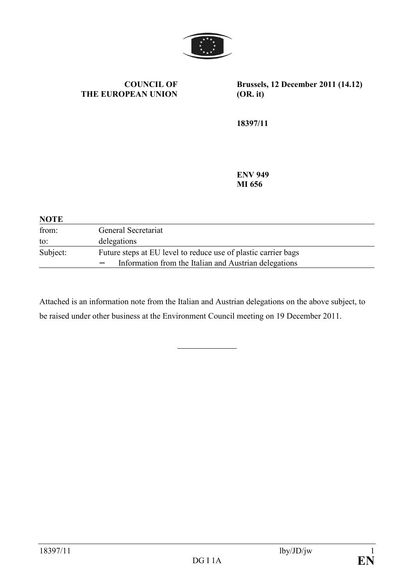

#### **COUNCIL OF THE EUROPEAN UNION**

**Brussels, 12 December 2011 (14.12) (OR. it)** 

**18397/11** 

**EV 949 MI 656** 

| <b>NOTE</b> |                                                                |
|-------------|----------------------------------------------------------------|
| from:       | General Secretariat                                            |
| to:         | delegations                                                    |
| Subject:    | Future steps at EU level to reduce use of plastic carrier bags |
|             | Information from the Italian and Austrian delegations          |

Attached is an information note from the Italian and Austrian delegations on the above subject, to be raised under other business at the Environment Council meeting on 19 December 2011.

 $\overline{a}$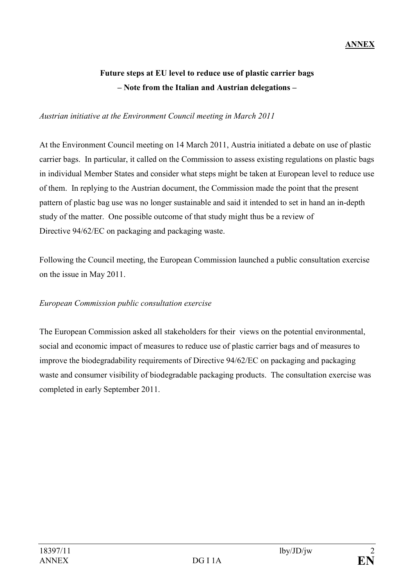### **ANNEX**

# **Future steps at EU level to reduce use of plastic carrier bags**  – Note from the Italian and Austrian delegations –

### *Austrian initiative at the Environment Council meeting in March 2011*

At the Environment Council meeting on 14 March 2011, Austria initiated a debate on use of plastic carrier bags. In particular, it called on the Commission to assess existing regulations on plastic bags in individual Member States and consider what steps might be taken at European level to reduce use of them. In replying to the Austrian document, the Commission made the point that the present pattern of plastic bag use was no longer sustainable and said it intended to set in hand an in-depth study of the matter. One possible outcome of that study might thus be a review of Directive 94/62/EC on packaging and packaging waste.

Following the Council meeting, the European Commission launched a public consultation exercise on the issue in May 2011.

### *European Commission public consultation exercise*

The European Commission asked all stakeholders for their views on the potential environmental, social and economic impact of measures to reduce use of plastic carrier bags and of measures to improve the biodegradability requirements of Directive 94/62/EC on packaging and packaging waste and consumer visibility of biodegradable packaging products. The consultation exercise was completed in early September 2011.